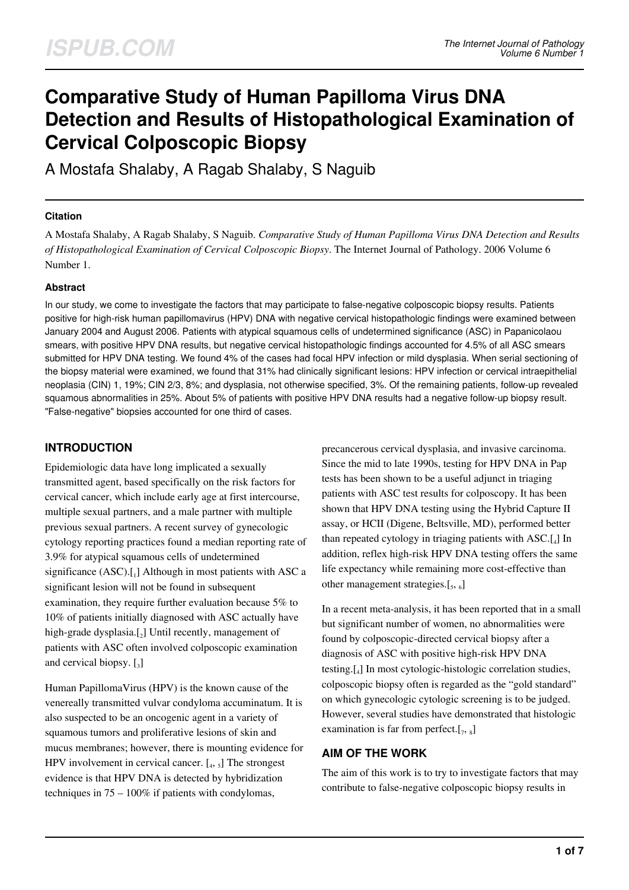# **Comparative Study of Human Papilloma Virus DNA Detection and Results of Histopathological Examination of Cervical Colposcopic Biopsy**

A Mostafa Shalaby, A Ragab Shalaby, S Naguib

#### **Citation**

A Mostafa Shalaby, A Ragab Shalaby, S Naguib. *Comparative Study of Human Papilloma Virus DNA Detection and Results of Histopathological Examination of Cervical Colposcopic Biopsy*. The Internet Journal of Pathology. 2006 Volume 6 Number 1.

### **Abstract**

In our study, we come to investigate the factors that may participate to false-negative colposcopic biopsy results. Patients positive for high-risk human papillomavirus (HPV) DNA with negative cervical histopathologic findings were examined between January 2004 and August 2006. Patients with atypical squamous cells of undetermined significance (ASC) in Papanicolaou smears, with positive HPV DNA results, but negative cervical histopathologic findings accounted for 4.5% of all ASC smears submitted for HPV DNA testing. We found 4% of the cases had focal HPV infection or mild dysplasia. When serial sectioning of the biopsy material were examined, we found that 31% had clinically significant lesions: HPV infection or cervical intraepithelial neoplasia (CIN) 1, 19%; CIN 2/3, 8%; and dysplasia, not otherwise specified, 3%. Of the remaining patients, follow-up revealed squamous abnormalities in 25%. About 5% of patients with positive HPV DNA results had a negative follow-up biopsy result. "False-negative" biopsies accounted for one third of cases.

# **INTRODUCTION**

Epidemiologic data have long implicated a sexually transmitted agent, based specifically on the risk factors for cervical cancer, which include early age at first intercourse, multiple sexual partners, and a male partner with multiple previous sexual partners. A recent survey of gynecologic cytology reporting practices found a median reporting rate of 3.9% for atypical squamous cells of undetermined significance (ASC).[1] Although in most patients with ASC a significant lesion will not be found in subsequent examination, they require further evaluation because 5% to 10% of patients initially diagnosed with ASC actually have high-grade dysplasia.[2] Until recently, management of patients with ASC often involved colposcopic examination and cervical biopsy.  $\left[\begin{smallmatrix} 1 \\ 3 \end{smallmatrix}\right]$ 

Human PapillomaVirus (HPV) is the known cause of the venereally transmitted vulvar condyloma accuminatum. It is also suspected to be an oncogenic agent in a variety of squamous tumors and proliferative lesions of skin and mucus membranes; however, there is mounting evidence for HPV involvement in cervical cancer.  $\left[ \begin{smallmatrix} 4 \\ 4 \end{smallmatrix} \right]$  The strongest evidence is that HPV DNA is detected by hybridization techniques in  $75 - 100\%$  if patients with condylomas,

precancerous cervical dysplasia, and invasive carcinoma. Since the mid to late 1990s, testing for HPV DNA in Pap tests has been shown to be a useful adjunct in triaging patients with ASC test results for colposcopy. It has been shown that HPV DNA testing using the Hybrid Capture II assay, or HCII (Digene, Beltsville, MD), performed better than repeated cytology in triaging patients with ASC.[<sup>4</sup> ] In addition, reflex high-risk HPV DNA testing offers the same life expectancy while remaining more cost-effective than other management strategies.[5, 6]

In a recent meta-analysis, it has been reported that in a small but significant number of women, no abnormalities were found by colposcopic-directed cervical biopsy after a diagnosis of ASC with positive high-risk HPV DNA testing.[<sup>4</sup> ] In most cytologic-histologic correlation studies, colposcopic biopsy often is regarded as the "gold standard" on which gynecologic cytologic screening is to be judged. However, several studies have demonstrated that histologic examination is far from perfect. $[7, 8]$ 

### **AIM OF THE WORK**

The aim of this work is to try to investigate factors that may contribute to false-negative colposcopic biopsy results in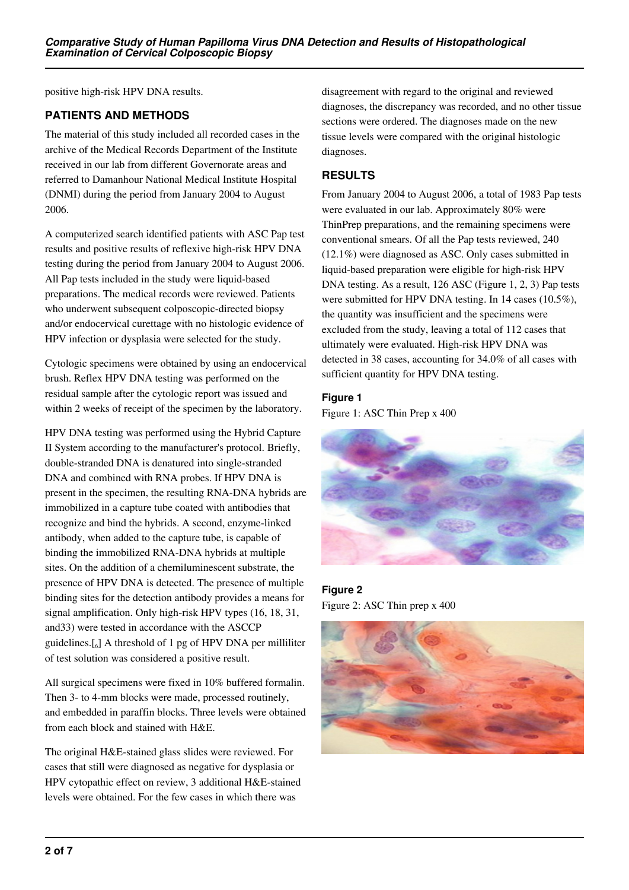positive high-risk HPV DNA results.

## **PATIENTS AND METHODS**

The material of this study included all recorded cases in the archive of the Medical Records Department of the Institute received in our lab from different Governorate areas and referred to Damanhour National Medical Institute Hospital (DNMI) during the period from January 2004 to August 2006.

A computerized search identified patients with ASC Pap test results and positive results of reflexive high-risk HPV DNA testing during the period from January 2004 to August 2006. All Pap tests included in the study were liquid-based preparations. The medical records were reviewed. Patients who underwent subsequent colposcopic-directed biopsy and/or endocervical curettage with no histologic evidence of HPV infection or dysplasia were selected for the study.

Cytologic specimens were obtained by using an endocervical brush. Reflex HPV DNA testing was performed on the residual sample after the cytologic report was issued and within 2 weeks of receipt of the specimen by the laboratory.

HPV DNA testing was performed using the Hybrid Capture II System according to the manufacturer's protocol. Briefly, double-stranded DNA is denatured into single-stranded DNA and combined with RNA probes. If HPV DNA is present in the specimen, the resulting RNA-DNA hybrids are immobilized in a capture tube coated with antibodies that recognize and bind the hybrids. A second, enzyme-linked antibody, when added to the capture tube, is capable of binding the immobilized RNA-DNA hybrids at multiple sites. On the addition of a chemiluminescent substrate, the presence of HPV DNA is detected. The presence of multiple binding sites for the detection antibody provides a means for signal amplification. Only high-risk HPV types (16, 18, 31, and33) were tested in accordance with the ASCCP guidelines.[<sup>6</sup> ] A threshold of 1 pg of HPV DNA per milliliter of test solution was considered a positive result.

All surgical specimens were fixed in 10% buffered formalin. Then 3- to 4-mm blocks were made, processed routinely, and embedded in paraffin blocks. Three levels were obtained from each block and stained with H&E.

The original H&E-stained glass slides were reviewed. For cases that still were diagnosed as negative for dysplasia or HPV cytopathic effect on review, 3 additional H&E-stained levels were obtained. For the few cases in which there was

disagreement with regard to the original and reviewed diagnoses, the discrepancy was recorded, and no other tissue sections were ordered. The diagnoses made on the new tissue levels were compared with the original histologic diagnoses.

# **RESULTS**

From January 2004 to August 2006, a total of 1983 Pap tests were evaluated in our lab. Approximately 80% were ThinPrep preparations, and the remaining specimens were conventional smears. Of all the Pap tests reviewed, 240 (12.1%) were diagnosed as ASC. Only cases submitted in liquid-based preparation were eligible for high-risk HPV DNA testing. As a result, 126 ASC (Figure 1, 2, 3) Pap tests were submitted for HPV DNA testing. In 14 cases (10.5%), the quantity was insufficient and the specimens were excluded from the study, leaving a total of 112 cases that ultimately were evaluated. High-risk HPV DNA was detected in 38 cases, accounting for 34.0% of all cases with sufficient quantity for HPV DNA testing.

### **Figure 1**

Figure 1: ASC Thin Prep x 400



**Figure 2** Figure 2: ASC Thin prep x 400

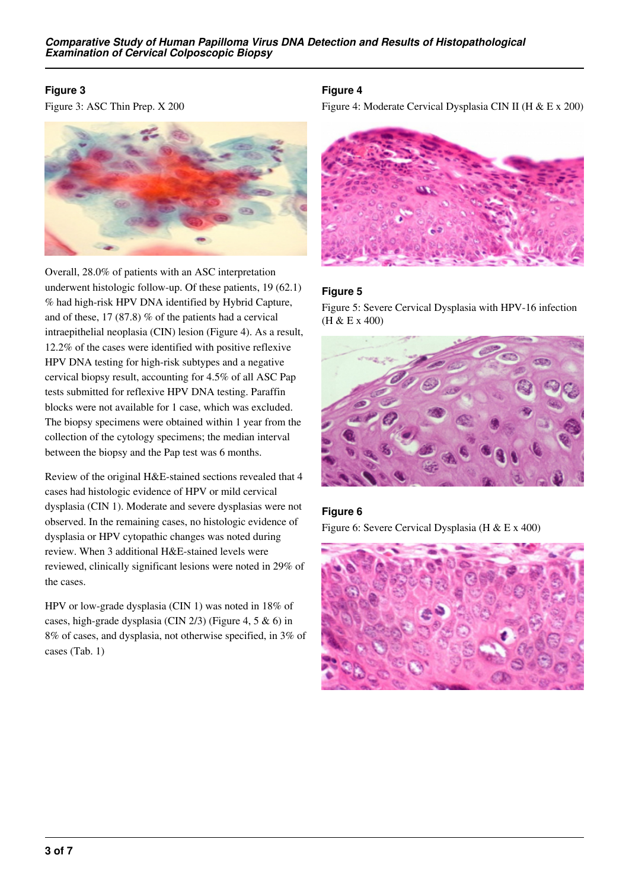## **Figure 3**

Figure 3: ASC Thin Prep. X 200



Overall, 28.0% of patients with an ASC interpretation underwent histologic follow-up. Of these patients, 19 (62.1) % had high-risk HPV DNA identified by Hybrid Capture, and of these, 17 (87.8) % of the patients had a cervical intraepithelial neoplasia (CIN) lesion (Figure 4). As a result, 12.2% of the cases were identified with positive reflexive HPV DNA testing for high-risk subtypes and a negative cervical biopsy result, accounting for 4.5% of all ASC Pap tests submitted for reflexive HPV DNA testing. Paraffin blocks were not available for 1 case, which was excluded. The biopsy specimens were obtained within 1 year from the collection of the cytology specimens; the median interval between the biopsy and the Pap test was 6 months.

Review of the original H&E-stained sections revealed that 4 cases had histologic evidence of HPV or mild cervical dysplasia (CIN 1). Moderate and severe dysplasias were not observed. In the remaining cases, no histologic evidence of dysplasia or HPV cytopathic changes was noted during review. When 3 additional H&E-stained levels were reviewed, clinically significant lesions were noted in 29% of the cases.

HPV or low-grade dysplasia (CIN 1) was noted in 18% of cases, high-grade dysplasia (CIN 2/3) (Figure 4, 5 & 6) in 8% of cases, and dysplasia, not otherwise specified, in 3% of cases (Tab. 1)

## **Figure 4**

Figure 4: Moderate Cervical Dysplasia CIN II (H & E x 200)



#### **Figure 5**

Figure 5: Severe Cervical Dysplasia with HPV-16 infection (H & E x 400)



### **Figure 6**

Figure 6: Severe Cervical Dysplasia (H & E x 400)

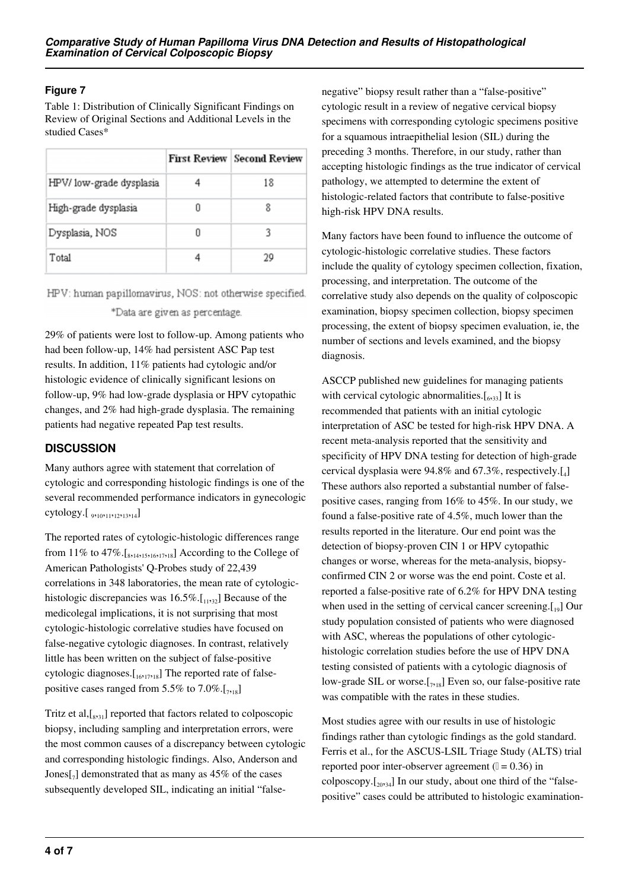## **Figure 7**

Table 1: Distribution of Clinically Significant Findings on Review of Original Sections and Additional Levels in the studied Cases\*

|                          |    | <b>First Review Second Review</b> |
|--------------------------|----|-----------------------------------|
| HPV/ low-grade dysplasia |    | 18                                |
| High-grade dysplasia     | IJ |                                   |
| Dysplasia, NOS           | n  |                                   |
| Total                    |    | 29                                |

HPV: human papillomavirus, NOS: not otherwise specified. \*Data are given as percentage.

29% of patients were lost to follow-up. Among patients who had been follow-up, 14% had persistent ASC Pap test results. In addition, 11% patients had cytologic and/or histologic evidence of clinically significant lesions on follow-up, 9% had low-grade dysplasia or HPV cytopathic changes, and 2% had high-grade dysplasia. The remaining patients had negative repeated Pap test results.

# **DISCUSSION**

Many authors agree with statement that correlation of cytologic and corresponding histologic findings is one of the several recommended performance indicators in gynecologic cytology.[ <sub>9</sub>,<sub>10</sub>,<sub>11</sub>,<sub>12</sub>,<sub>13</sub>,<sub>14</sub>]

The reported rates of cytologic-histologic differences range from 11% to  $47\%$ .  $\left[ \frac{8}{3}, \frac{1}{4}, \frac{1}{5}, \frac{1}{16}, \frac{1}{17}, \frac{1}{18} \right]$  According to the College of American Pathologists' Q-Probes study of 22,439 correlations in 348 laboratories, the mean rate of cytologichistologic discrepancies was  $16.5\%$ . [11,32] Because of the medicolegal implications, it is not surprising that most cytologic-histologic correlative studies have focused on false-negative cytologic diagnoses. In contrast, relatively little has been written on the subject of false-positive cytologic diagnoses. $[$ <sub>16</sub>,<sub>17</sub>,<sub>18</sub>] The reported rate of falsepositive cases ranged from 5.5% to 7.0%. $[\cdot, \cdot]$ 

Tritz et al,[<sup>8</sup> ,31] reported that factors related to colposcopic biopsy, including sampling and interpretation errors, were the most common causes of a discrepancy between cytologic and corresponding histologic findings. Also, Anderson and Jones $\begin{bmatrix} 7 \end{bmatrix}$  demonstrated that as many as 45% of the cases subsequently developed SIL, indicating an initial "false-

negative" biopsy result rather than a "false-positive" cytologic result in a review of negative cervical biopsy specimens with corresponding cytologic specimens positive for a squamous intraepithelial lesion (SIL) during the preceding 3 months. Therefore, in our study, rather than accepting histologic findings as the true indicator of cervical pathology, we attempted to determine the extent of histologic-related factors that contribute to false-positive high-risk HPV DNA results.

Many factors have been found to influence the outcome of cytologic-histologic correlative studies. These factors include the quality of cytology specimen collection, fixation, processing, and interpretation. The outcome of the correlative study also depends on the quality of colposcopic examination, biopsy specimen collection, biopsy specimen processing, the extent of biopsy specimen evaluation, ie, the number of sections and levels examined, and the biopsy diagnosis.

ASCCP published new guidelines for managing patients with cervical cytologic abnormalities. $[\,6, 33]$  It is recommended that patients with an initial cytologic interpretation of ASC be tested for high-risk HPV DNA. A recent meta-analysis reported that the sensitivity and specificity of HPV DNA testing for detection of high-grade cervical dysplasia were 94.8% and 67.3%, respectively.[<sup>4</sup> ] These authors also reported a substantial number of falsepositive cases, ranging from 16% to 45%. In our study, we found a false-positive rate of 4.5%, much lower than the results reported in the literature. Our end point was the detection of biopsy-proven CIN 1 or HPV cytopathic changes or worse, whereas for the meta-analysis, biopsyconfirmed CIN 2 or worse was the end point. Coste et al. reported a false-positive rate of 6.2% for HPV DNA testing when used in the setting of cervical cancer screening. $[19]$  Our study population consisted of patients who were diagnosed with ASC, whereas the populations of other cytologichistologic correlation studies before the use of HPV DNA testing consisted of patients with a cytologic diagnosis of low-grade SIL or worse. $[\tau_{718}]$  Even so, our false-positive rate was compatible with the rates in these studies.

Most studies agree with our results in use of histologic findings rather than cytologic findings as the gold standard. Ferris et al., for the ASCUS-LSIL Triage Study (ALTS) trial reported poor inter-observer agreement  $(1 = 0.36)$  in colposcopy. $\lceil_{20,34}\rceil$  In our study, about one third of the "falsepositive" cases could be attributed to histologic examination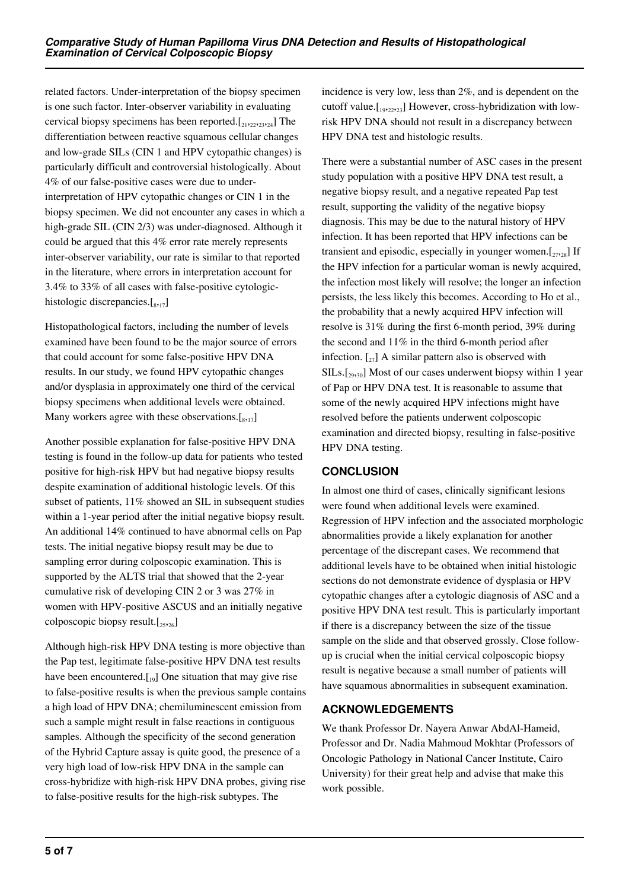related factors. Under-interpretation of the biopsy specimen is one such factor. Inter-observer variability in evaluating cervical biopsy specimens has been reported. $[21,22,22,23]$  The differentiation between reactive squamous cellular changes and low-grade SILs (CIN 1 and HPV cytopathic changes) is particularly difficult and controversial histologically. About 4% of our false-positive cases were due to underinterpretation of HPV cytopathic changes or CIN 1 in the biopsy specimen. We did not encounter any cases in which a high-grade SIL (CIN 2/3) was under-diagnosed. Although it could be argued that this 4% error rate merely represents inter-observer variability, our rate is similar to that reported in the literature, where errors in interpretation account for 3.4% to 33% of all cases with false-positive cytologichistologic discrepancies.[<sub>8,17</sub>]

Histopathological factors, including the number of levels examined have been found to be the major source of errors that could account for some false-positive HPV DNA results. In our study, we found HPV cytopathic changes and/or dysplasia in approximately one third of the cervical biopsy specimens when additional levels were obtained. Many workers agree with these observations. $[s_{17}]$ 

Another possible explanation for false-positive HPV DNA testing is found in the follow-up data for patients who tested positive for high-risk HPV but had negative biopsy results despite examination of additional histologic levels. Of this subset of patients, 11% showed an SIL in subsequent studies within a 1-year period after the initial negative biopsy result. An additional 14% continued to have abnormal cells on Pap tests. The initial negative biopsy result may be due to sampling error during colposcopic examination. This is supported by the ALTS trial that showed that the 2-year cumulative risk of developing CIN 2 or 3 was 27% in women with HPV-positive ASCUS and an initially negative colposcopic biopsy result. $[25,26]$ 

Although high-risk HPV DNA testing is more objective than the Pap test, legitimate false-positive HPV DNA test results have been encountered. $\begin{bmatrix} 1 & 0 \end{bmatrix}$  One situation that may give rise to false-positive results is when the previous sample contains a high load of HPV DNA; chemiluminescent emission from such a sample might result in false reactions in contiguous samples. Although the specificity of the second generation of the Hybrid Capture assay is quite good, the presence of a very high load of low-risk HPV DNA in the sample can cross-hybridize with high-risk HPV DNA probes, giving rise to false-positive results for the high-risk subtypes. The

incidence is very low, less than 2%, and is dependent on the cutoff value. $\begin{bmatrix} 1 & 0 & 0 \\ 0 & 0 & 2 & 0 \\ 0 & 0 & 0 & 0 \end{bmatrix}$  However, cross-hybridization with lowrisk HPV DNA should not result in a discrepancy between HPV DNA test and histologic results.

There were a substantial number of ASC cases in the present study population with a positive HPV DNA test result, a negative biopsy result, and a negative repeated Pap test result, supporting the validity of the negative biopsy diagnosis. This may be due to the natural history of HPV infection. It has been reported that HPV infections can be transient and episodic, especially in younger women. $[\cdot, \cdot]$  If the HPV infection for a particular woman is newly acquired, the infection most likely will resolve; the longer an infection persists, the less likely this becomes. According to Ho et al., the probability that a newly acquired HPV infection will resolve is 31% during the first 6-month period, 39% during the second and 11% in the third 6-month period after infection.  $\left[\begin{smallmatrix} 2 \\ 2 \end{smallmatrix}\right]$  A similar pattern also is observed with  $SILs.[<sub>29,30</sub>]$  Most of our cases underwent biopsy within 1 year of Pap or HPV DNA test. It is reasonable to assume that some of the newly acquired HPV infections might have resolved before the patients underwent colposcopic examination and directed biopsy, resulting in false-positive HPV DNA testing.

# **CONCLUSION**

In almost one third of cases, clinically significant lesions were found when additional levels were examined. Regression of HPV infection and the associated morphologic abnormalities provide a likely explanation for another percentage of the discrepant cases. We recommend that additional levels have to be obtained when initial histologic sections do not demonstrate evidence of dysplasia or HPV cytopathic changes after a cytologic diagnosis of ASC and a positive HPV DNA test result. This is particularly important if there is a discrepancy between the size of the tissue sample on the slide and that observed grossly. Close followup is crucial when the initial cervical colposcopic biopsy result is negative because a small number of patients will have squamous abnormalities in subsequent examination.

# **ACKNOWLEDGEMENTS**

We thank Professor Dr. Nayera Anwar AbdAl-Hameid, Professor and Dr. Nadia Mahmoud Mokhtar (Professors of Oncologic Pathology in National Cancer Institute, Cairo University) for their great help and advise that make this work possible.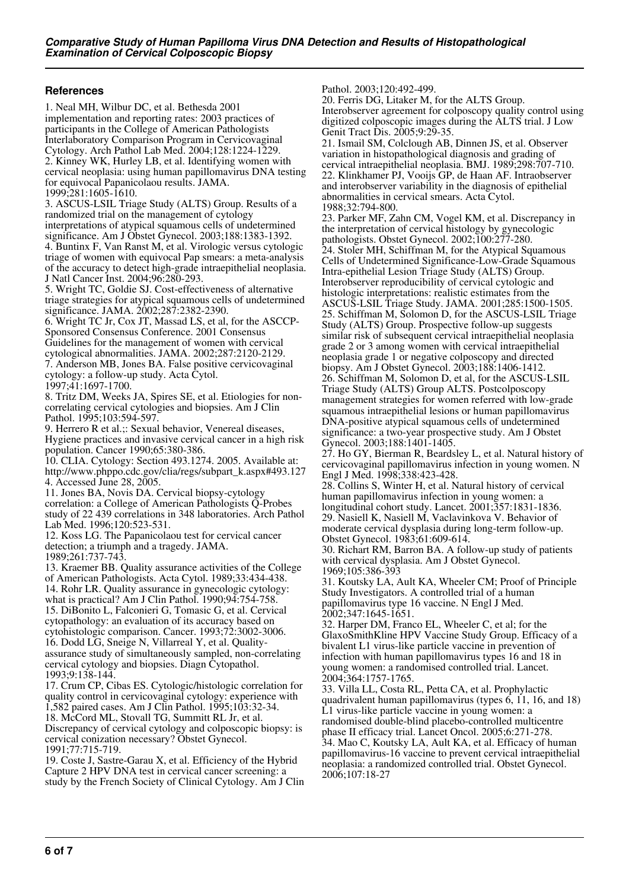#### **References**

1. Neal MH, Wilbur DC, et al. Bethesda 2001 implementation and reporting rates: 2003 practices of participants in the College of American Pathologists Interlaboratory Comparison Program in Cervicovaginal Cytology. Arch Pathol Lab Med. 2004;128:1224-1229. 2. Kinney WK, Hurley LB, et al. Identifying women with cervical neoplasia: using human papillomavirus DNA testing for equivocal Papanicolaou results. JAMA. 1999;281:1605-1610.

3. ASCUS-LSIL Triage Study (ALTS) Group. Results of a randomized trial on the management of cytology interpretations of atypical squamous cells of undetermined significance. Am J Obstet Gynecol. 2003;188:1383-1392. 4. Buntinx F, Van Ranst M, et al. Virologic versus cytologic triage of women with equivocal Pap smears: a meta-analysis of the accuracy to detect high-grade intraepithelial neoplasia. J Natl Cancer Inst. 2004;96:280-293.

5. Wright TC, Goldie SJ. Cost-effectiveness of alternative triage strategies for atypical squamous cells of undetermined significance. JAMA. 2002;287:2382-2390.

6. Wright TC Jr, Cox JT, Massad LS, et al, for the ASCCP-Sponsored Consensus Conference. 2001 Consensus Guidelines for the management of women with cervical cytological abnormalities. JAMA. 2002;287:2120-2129. 7. Anderson MB, Jones BA. False positive cervicovaginal cytology: a follow-up study. Acta Cytol. 1997;41:1697-1700.

8. Tritz DM, Weeks JA, Spires SE, et al. Etiologies for noncorrelating cervical cytologies and biopsies. Am J Clin Pathol. 1995;103:594-597

9. Herrero R et al.;: Sexual behavior, Venereal diseases, Hygiene practices and invasive cervical cancer in a high risk population. Cancer 1990;65:380-386.

10. CLIA. Cytology: Section 493.1274. 2005. Available at: http://www.phppo.cdc.gov/clia/regs/subpart\_k.aspx#493.127 4. Accessed June 28, 2005.

11. Jones BA, Novis DA. Cervical biopsy-cytology correlation: a College of American Pathologists Q-Probes study of 22 439 correlations in 348 laboratories. Arch Pathol Lab Med. 1996;120:523-531.

12. Koss LG. The Papanicolaou test for cervical cancer detection; a triumph and a tragedy. JAMA. 1989;261:737-743.

13. Kraemer BB. Quality assurance activities of the College of American Pathologists. Acta Cytol. 1989;33:434-438. 14. Rohr LR. Quality assurance in gynecologic cytology: what is practical? Am J Clin Pathol. 1990;94:754-758. 15. DiBonito L, Falconieri G, Tomasic G, et al. Cervical cytopathology: an evaluation of its accuracy based on cytohistologic comparison. Cancer. 1993;72:3002-3006. 16. Dodd LG, Sneige N, Villarreal Y, et al. Qualityassurance study of simultaneously sampled, non-correlating cervical cytology and biopsies. Diagn Cytopathol. 1993;9:138-144.

17. Crum CP, Cibas ES. Cytologic/histologic correlation for quality control in cervicovaginal cytology: experience with 1,582 paired cases. Am J Clin Pathol. 1995;103:32-34. 18. McCord ML, Stovall TG, Summitt RL Jr, et al.

Discrepancy of cervical cytology and colposcopic biopsy: is cervical conization necessary? Obstet Gynecol. 1991;77:715-719.

19. Coste J, Sastre-Garau X, et al. Efficiency of the Hybrid Capture 2 HPV DNA test in cervical cancer screening: a study by the French Society of Clinical Cytology. Am J Clin Pathol. 2003;120:492-499.

20. Ferris DG, Litaker M, for the ALTS Group. Interobserver agreement for colposcopy quality control using digitized colposcopic images during the ALTS trial. J Low Genit Tract Dis. 2005;9:29-35.

21. Ismail SM, Colclough AB, Dinnen JS, et al. Observer variation in histopathological diagnosis and grading of cervical intraepithelial neoplasia. BMJ. 1989;298:707-710. 22. Klinkhamer PJ, Vooijs GP, de Haan AF. Intraobserver and interobserver variability in the diagnosis of epithelial abnormalities in cervical smears. Acta Cytol. 1988;32:794-800.

23. Parker MF, Zahn CM, Vogel KM, et al. Discrepancy in the interpretation of cervical histology by gynecologic pathologists. Obstet Gynecol. 2002;100:277-280. 24. Stoler MH, Schiffman M, for the Atypical Squamous Cells of Undetermined Significance-Low-Grade Squamous Intra-epithelial Lesion Triage Study (ALTS) Group. Interobserver reproducibility of cervical cytologic and histologic interpretations: realistic estimates from the ASCUS-LSIL Triage Study. JAMA. 2001;285:1500-1505. 25. Schiffman M, Solomon D, for the ASCUS-LSIL Triage Study (ALTS) Group. Prospective follow-up suggests similar risk of subsequent cervical intraepithelial neoplasia grade 2 or 3 among women with cervical intraepithelial neoplasia grade 1 or negative colposcopy and directed biopsy. Am J Obstet Gynecol. 2003;188:1406-1412. 26. Schiffman M, Solomon D, et al, for the ASCUS-LSIL Triage Study (ALTS) Group ALTS. Postcolposcopy management strategies for women referred with low-grade squamous intraepithelial lesions or human papillomavirus DNA-positive atypical squamous cells of undetermined significance: a two-year prospective study. Am J Obstet Gynecol. 2003;188:1401-1405.

27. Ho GY, Bierman R, Beardsley L, et al. Natural history of cervicovaginal papillomavirus infection in young women. N Engl J Med. 1998;338:423-428.

28. Collins S, Winter H, et al. Natural history of cervical human papillomavirus infection in young women: a longitudinal cohort study. Lancet. 2001;357:1831-1836. 29. Nasiell K, Nasiell M, Vaclavinkova V. Behavior of moderate cervical dysplasia during long-term follow-up. Obstet Gynecol. 1983;61:609-614.

30. Richart RM, Barron BA. A follow-up study of patients with cervical dysplasia. Am J Obstet Gynecol. 1969;105:386-393

31. Koutsky LA, Ault KA, Wheeler CM; Proof of Principle Study Investigators. A controlled trial of a human papillomavirus type 16 vaccine. N Engl J Med. 2002;347:1645-1651.

32. Harper DM, Franco EL, Wheeler C, et al; for the GlaxoSmithKline HPV Vaccine Study Group. Efficacy of a bivalent L1 virus-like particle vaccine in prevention of infection with human papillomavirus types 16 and 18 in young women: a randomised controlled trial. Lancet. 2004;364:1757-1765.

33. Villa LL, Costa RL, Petta CA, et al. Prophylactic quadrivalent human papillomavirus (types 6, 11, 16, and 18) L1 virus-like particle vaccine in young women: a randomised double-blind placebo-controlled multicentre phase II efficacy trial. Lancet Oncol. 2005;6:271-278. 34. Mao C, Koutsky LA, Ault KA, et al. Efficacy of human papillomavirus-16 vaccine to prevent cervical intraepithelial neoplasia: a randomized controlled trial. Obstet Gynecol. 2006;107:18-27